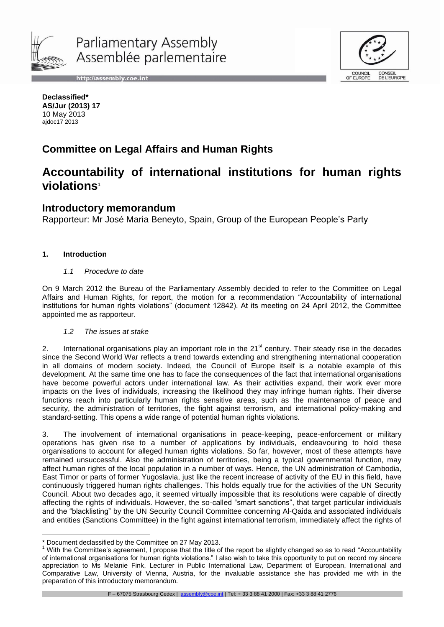

http://assembly.coe.int



**Declassified\* AS/Jur (2013) 17** 10 May 2013 ajdoc17 2013

# **Committee on Legal Affairs and Human Rights**

# **Accountability of international institutions for human rights violations**<sup>1</sup>

# **Introductory memorandum**

Rapporteur: Mr José Maria Beneyto, Spain, Group of the European People's Party

## **1. Introduction**

-

#### *1.1 Procedure to date*

On 9 March 2012 the Bureau of the Parliamentary Assembly decided to refer to the Committee on Legal Affairs and Human Rights, for report, the motion for a recommendation "Accountability of international institutions for human rights violations" (document 12842). At its meeting on 24 April 2012, the Committee appointed me as rapporteur.

#### *1.2 The issues at stake*

2. International organisations play an important role in the 21<sup>st</sup> century. Their steady rise in the decades since the Second World War reflects a trend towards extending and strengthening international cooperation in all domains of modern society. Indeed, the Council of Europe itself is a notable example of this development. At the same time one has to face the consequences of the fact that international organisations have become powerful actors under international law. As their activities expand, their work ever more impacts on the lives of individuals, increasing the likelihood they may infringe human rights. Their diverse functions reach into particularly human rights sensitive areas, such as the maintenance of peace and security, the administration of territories, the fight against terrorism, and international policy-making and standard-setting. This opens a wide range of potential human rights violations.

3. The involvement of international organisations in peace-keeping, peace-enforcement or military operations has given rise to a number of applications by individuals, endeavouring to hold these organisations to account for alleged human rights violations. So far, however, most of these attempts have remained unsuccessful. Also the administration of territories, being a typical governmental function, may affect human rights of the local population in a number of ways. Hence, the UN administration of Cambodia, East Timor or parts of former Yugoslavia, just like the recent increase of activity of the EU in this field, have continuously triggered human rights challenges. This holds equally true for the activities of the UN Security Council. About two decades ago, it seemed virtually impossible that its resolutions were capable of directly affecting the rights of individuals. However, the so-called "smart sanctions", that target particular individuals and the "blacklisting" by the UN Security Council Committee concerning Al-Qaida and associated individuals and entities (Sanctions Committee) in the fight against international terrorism, immediately affect the rights of

F – 67075 Strasbourg Cedex | assembly@coe.int | Tel: + 33 3 88 41 2000 | Fax: +33 3 88 41 2776

<sup>\*</sup> Document declassified by the Committee on 27 May 2013.

 $<sup>1</sup>$  With the Committee's agreement, I propose that the title of the report be slightly changed so as to read "Accountability</sup> of international organisations for human rights violations." I also wish to take this opportunity to put on record my sincere appreciation to Ms Melanie Fink, Lecturer in Public International Law, Department of European, International and Comparative Law, University of Vienna, Austria, for the invaluable assistance she has provided me with in the preparation of this introductory memorandum.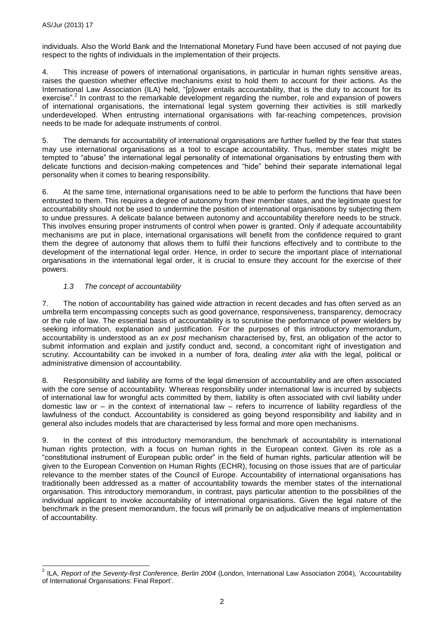individuals. Also the World Bank and the International Monetary Fund have been accused of not paying due respect to the rights of individuals in the implementation of their projects.

<span id="page-1-0"></span>4. This increase of powers of international organisations, in particular in human rights sensitive areas, raises the question whether effective mechanisms exist to hold them to account for their actions. As the International Law Association (ILA) held, "[p]ower entails accountability, that is the duty to account for its exercise".<sup>2</sup> In contrast to the remarkable development regarding the number, role and expansion of powers of international organisations, the international legal system governing their activities is still markedly underdeveloped. When entrusting international organisations with far-reaching competences, provision needs to be made for adequate instruments of control.

5. The demands for accountability of international organisations are further fuelled by the fear that states may use international organisations as a tool to escape accountability. Thus, member states might be tempted to "abuse" the international legal personality of international organisations by entrusting them with delicate functions and decision-making competences and "hide" behind their separate international legal personality when it comes to bearing responsibility.

6. At the same time, international organisations need to be able to perform the functions that have been entrusted to them. This requires a degree of autonomy from their member states, and the legitimate quest for accountability should not be used to undermine the position of international organisations by subjecting them to undue pressures. A delicate balance between autonomy and accountability therefore needs to be struck. This involves ensuring proper instruments of control when power is granted. Only if adequate accountability mechanisms are put in place, international organisations will benefit from the confidence required to grant them the degree of autonomy that allows them to fulfil their functions effectively and to contribute to the development of the international legal order. Hence, in order to secure the important place of international organisations in the international legal order, it is crucial to ensure they account for the exercise of their powers.

# *1.3 The concept of accountability*

7. The notion of accountability has gained wide attraction in recent decades and has often served as an umbrella term encompassing concepts such as good governance, responsiveness, transparency, democracy or the rule of law. The essential basis of accountability is to scrutinise the performance of power wielders by seeking information, explanation and justification. For the purposes of this introductory memorandum, accountability is understood as an *ex post* mechanism characterised by, first, an obligation of the actor to submit information and explain and justify conduct and, second, a concomitant right of investigation and scrutiny. Accountability can be invoked in a number of fora, dealing *inter alia* with the legal, political or administrative dimension of accountability.

8. Responsibility and liability are forms of the legal dimension of accountability and are often associated with the core sense of accountability. Whereas responsibility under international law is incurred by subjects of international law for wrongful acts committed by them, liability is often associated with civil liability under domestic law or – in the context of international law – refers to incurrence of liability regardless of the lawfulness of the conduct. Accountability is considered as going beyond responsibility and liability and in general also includes models that are characterised by less formal and more open mechanisms.

9. In the context of this introductory memorandum, the benchmark of accountability is international human rights protection, with a focus on human rights in the European context. Given its role as a "constitutional instrument of European public order" in the field of human rights, particular attention will be given to the European Convention on Human Rights (ECHR), focusing on those issues that are of particular relevance to the member states of the Council of Europe. Accountability of international organisations has traditionally been addressed as a matter of accountability towards the member states of the international organisation. This introductory memorandum, in contrast, pays particular attention to the possibilities of the individual applicant to invoke accountability of international organisations. Given the legal nature of the benchmark in the present memorandum, the focus will primarily be on adjudicative means of implementation of accountability.

 2 ILA, *Report of the Seventy-first Conference, Berlin 2004* (London, International Law Association 2004), 'Accountability of International Organisations: Final Report'.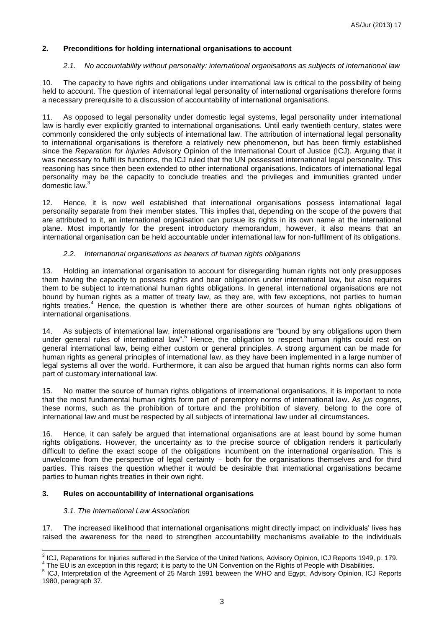## **2. Preconditions for holding international organisations to account**

#### *2.1. No accountability without personality: international organisations as subjects of international law*

10. The capacity to have rights and obligations under international law is critical to the possibility of being held to account. The question of international legal personality of international organisations therefore forms a necessary prerequisite to a discussion of accountability of international organisations.

11. As opposed to legal personality under domestic legal systems, legal personality under international law is hardly ever explicitly granted to international organisations. Until early twentieth century, states were commonly considered the only subjects of international law. The attribution of international legal personality to international organisations is therefore a relatively new phenomenon, but has been firmly established since the *Reparation for Injuries* Advisory Opinion of the International Court of Justice (ICJ). Arguing that it was necessary to fulfil its functions, the ICJ ruled that the UN possessed international legal personality. This reasoning has since then been extended to other international organisations. Indicators of international legal personality may be the capacity to conclude treaties and the privileges and immunities granted under domestic law.<sup>3</sup>

12. Hence, it is now well established that international organisations possess international legal personality separate from their member states. This implies that, depending on the scope of the powers that are attributed to it, an international organisation can pursue its rights in its own name at the international plane. Most importantly for the present introductory memorandum, however, it also means that an international organisation can be held accountable under international law for non-fulfilment of its obligations.

#### *2.2. International organisations as bearers of human rights obligations*

13. Holding an international organisation to account for disregarding human rights not only presupposes them having the capacity to possess rights and bear obligations under international law, but also requires them to be subject to international human rights obligations. In general, international organisations are not bound by human rights as a matter of treaty law, as they are, with few exceptions, not parties to human rights treaties.<sup>4</sup> Hence, the question is whether there are other sources of human rights obligations of international organisations.

14. As subjects of international law, international organisations are "bound by any obligations upon them under general rules of international law".<sup>5</sup> Hence, the obligation to respect human rights could rest on general international law, being either custom or general principles. A strong argument can be made for human rights as general principles of international law, as they have been implemented in a large number of legal systems all over the world. Furthermore, it can also be argued that human rights norms can also form part of customary international law.

15. No matter the source of human rights obligations of international organisations, it is important to note that the most fundamental human rights form part of peremptory norms of international law. As *jus cogens*, these norms, such as the prohibition of torture and the prohibition of slavery, belong to the core of international law and must be respected by all subjects of international law under all circumstances.

16. Hence, it can safely be argued that international organisations are at least bound by some human rights obligations. However, the uncertainty as to the precise source of obligation renders it particularly difficult to define the exact scope of the obligations incumbent on the international organisation. This is unwelcome from the perspective of legal certainty – both for the organisations themselves and for third parties. This raises the question whether it would be desirable that international organisations became parties to human rights treaties in their own right.

#### **3. Rules on accountability of international organisations**

#### *3.1. The International Law Association*

17. The increased likelihood that international organisations might directly impact on individuals' lives has raised the awareness for the need to strengthen accountability mechanisms available to the individuals

 3 ICJ, Reparations for Injuries suffered in the Service of the United Nations, Advisory Opinion, ICJ Reports 1949, p. 179.

 $4$  The EU is an exception in this regard; it is party to the UN Convention on the Rights of People with Disabilities.

<sup>5</sup> ICJ, Interpretation of the Agreement of 25 March 1991 between the WHO and Egypt, Advisory Opinion, ICJ Reports 1980, paragraph 37.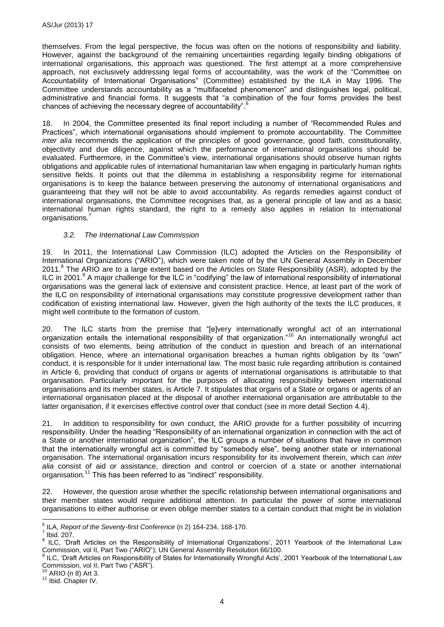themselves. From the legal perspective, the focus was often on the notions of responsibility and liability. However, against the background of the remaining uncertainties regarding legally binding obligations of international organisations, this approach was questioned. The first attempt at a more comprehensive approach, not exclusively addressing legal forms of accountability, was the work of the "Committee on Accountability of International Organisations" (Committee) established by the ILA in May 1996. The Committee understands accountability as a "multifaceted phenomenon" and distinguishes legal, political, administrative and financial forms. It suggests that "a combination of the four forms provides the best chances of achieving the necessary degree of accountability".<sup>6</sup>

18. In 2004, the Committee presented its final report including a number of "Recommended Rules and Practices", which international organisations should implement to promote accountability. The Committee *inter alia* recommends the application of the principles of good governance, good faith, constitutionality, objectivity and due diligence, against which the performance of international organisations should be evaluated. Furthermore, in the Committee's view, international organisations should observe human rights obligations and applicable rules of international humanitarian law when engaging in particularly human rights sensitive fields. It points out that the dilemma in establishing a responsibility regime for international organisations is to keep the balance between preserving the autonomy of international organisations and guaranteeing that they will not be able to avoid accountability. As regards remedies against conduct of international organisations, the Committee recognises that, as a general principle of law and as a basic international human rights standard, the right to a remedy also applies in relation to international organisations.<sup>7</sup>

## <span id="page-3-0"></span>*3.2. The International Law Commission*

19. In 2011, the International Law Commission (ILC) adopted the Articles on the Responsibility of International Organizations ("ARIO"), which were taken note of by the UN General Assembly in December 2011.<sup>8</sup> The ARIO are to a large extent based on the Articles on State Responsibility (ASR), adopted by the ILC in 2001.<sup>9</sup> A major challenge for the ILC in "codifying" the law of international responsibility of international organisations was the general lack of extensive and consistent practice. Hence, at least part of the work of the ILC on responsibility of international organisations may constitute progressive development rather than codification of existing international law. However, given the high authority of the texts the ILC produces, it might well contribute to the formation of custom.

20. The ILC starts from the premise that "[e]very internationally wrongful act of an international organization entails the international responsibility of that organization."<sup>10</sup> An internationally wrongful act consists of two elements, being attribution of the conduct in question and breach of an international obligation. Hence, where an international organisation breaches a human rights obligation by its "own" conduct, it is responsible for it under international law. The most basic rule regarding attribution is contained in Article 6, providing that conduct of organs or agents of international organisations is attributable to that organisation. Particularly important for the purposes of allocating responsibility between international organisations and its member states, is Article 7. It stipulates that organs of a State or organs or agents of an international organisation placed at the disposal of another international organisation are attributable to the latter organisation, if it exercises effective control over that conduct (see in more detail Section 4.4).

21. In addition to responsibility for own conduct, the ARIO provide for a further possibility of incurring responsibility. Under the heading "Responsibility of an international organization in connection with the act of a State or another international organization", the ILC groups a number of situations that have in common that the internationally wrongful act is committed by "somebody else", being another state or international organisation. The international organisation incurs responsibility for its involvement therein, which can *inter alia* consist of aid or assistance, direction and control or coercion of a state or another international organisation.<sup>11</sup> This has been referred to as "indirect" responsibility.

22. However, the question arose whether the specific relationship between international organisations and their member states would require additional attention. In particular the power of some international organisations to either authorise or even oblige member states to a certain conduct that might be in violation

 6 ILA, *Report of the Seventy-first Conference* ([n 2\)](#page-1-0) 164-234, 168-170.

 $<sup>7</sup>$  Ibid. 207.</sup>

<sup>&</sup>lt;sup>8</sup> ILC, 'Draft Articles on the Responsibility of International Organizations', 2011 Yearbook of the International Law Commission, vol II, Part Two ("ARIO"); UN General Assembly Resolution 66/100.<br><sup>9</sup> U.C. (Draft Articles on Responsibility of States for Internationally Wrangful Asta).

ILC, 'Draft Articles on Responsibility of States for Internationally Wrongful Acts', 2001 Yearbook of the International Law Commission, vol II, Part Two ("ASR").

 $A$ RIO (n [8\)](#page-3-0) Art 3.

<sup>11</sup> Ibid. Chapter IV.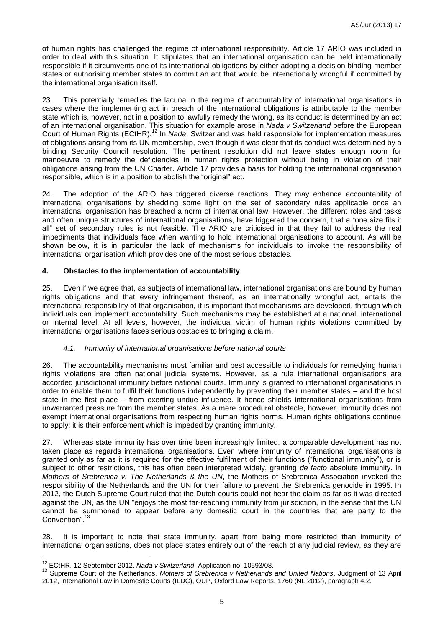of human rights has challenged the regime of international responsibility. Article 17 ARIO was included in order to deal with this situation. It stipulates that an international organisation can be held internationally responsible if it circumvents one of its international obligations by either adopting a decision binding member states or authorising member states to commit an act that would be internationally wrongful if committed by the international organisation itself.

<span id="page-4-0"></span>23. This potentially remedies the lacuna in the regime of accountability of international organisations in cases where the implementing act in breach of the international obligations is attributable to the member state which is, however, not in a position to lawfully remedy the wrong, as its conduct is determined by an act of an international organisation. This situation for example arose in *Nada v Switzerland* before the European Court of Human Rights (ECtHR). <sup>12</sup> In *Nada*, Switzerland was held responsible for implementation measures of obligations arising from its UN membership, even though it was clear that its conduct was determined by a binding Security Council resolution. The pertinent resolution did not leave states enough room for manoeuvre to remedy the deficiencies in human rights protection without being in violation of their obligations arising from the UN Charter. Article 17 provides a basis for holding the international organisation responsible, which is in a position to abolish the "original" act.

24. The adoption of the ARIO has triggered diverse reactions. They may enhance accountability of international organisations by shedding some light on the set of secondary rules applicable once an international organisation has breached a norm of international law. However, the different roles and tasks and often unique structures of international organisations, have triggered the concern, that a "one size fits it all" set of secondary rules is not feasible. The ARIO are criticised in that they fail to address the real impediments that individuals face when wanting to hold international organisations to account. As will be shown below, it is in particular the lack of mechanisms for individuals to invoke the responsibility of international organisation which provides one of the most serious obstacles.

#### **4. Obstacles to the implementation of accountability**

25. Even if we agree that, as subjects of international law, international organisations are bound by human rights obligations and that every infringement thereof, as an internationally wrongful act, entails the international responsibility of that organisation, it is important that mechanisms are developed, through which individuals can implement accountability. Such mechanisms may be established at a national, international or internal level. At all levels, however, the individual victim of human rights violations committed by international organisations faces serious obstacles to bringing a claim.

#### *4.1. Immunity of international organisations before national courts*

26. The accountability mechanisms most familiar and best accessible to individuals for remedying human rights violations are often national judicial systems. However, as a rule international organisations are accorded jurisdictional immunity before national courts. Immunity is granted to international organisations in order to enable them to fulfil their functions independently by preventing their member states – and the host state in the first place – from exerting undue influence. It hence shields international organisations from unwarranted pressure from the member states. As a mere procedural obstacle, however, immunity does not exempt international organisations from respecting human rights norms. Human rights obligations continue to apply; it is their enforcement which is impeded by granting immunity.

27. Whereas state immunity has over time been increasingly limited, a comparable development has not taken place as regards international organisations. Even where immunity of international organisations is granted only as far as it is required for the effective fulfilment of their functions ("functional immunity"), or is subject to other restrictions, this has often been interpreted widely, granting *de facto* absolute immunity. In *Mothers of Srebrenica v. The Netherlands & the UN*, the Mothers of Srebrenica Association invoked the responsibility of the Netherlands and the UN for their failure to prevent the Srebrenica genocide in 1995. In 2012, the Dutch Supreme Court ruled that the Dutch courts could not hear the claim as far as it was directed against the UN, as the UN "enjoys the most far-reaching immunity from jurisdiction, in the sense that the UN cannot be summoned to appear before any domestic court in the countries that are party to the Convention".

28. It is important to note that state immunity, apart from being more restricted than immunity of international organisations, does not place states entirely out of the reach of any judicial review, as they are

<sup>-</sup><sup>12</sup> ECtHR, 12 September 2012, *Nada v Switzerland*, Application no. 10593/08.

<sup>13</sup> Supreme Court of the Netherlands, *Mothers of Srebrenica v Netherlands and United Nations*, Judgment of 13 April 2012, International Law in Domestic Courts (ILDC), OUP, Oxford Law Reports, 1760 (NL 2012), paragraph 4.2.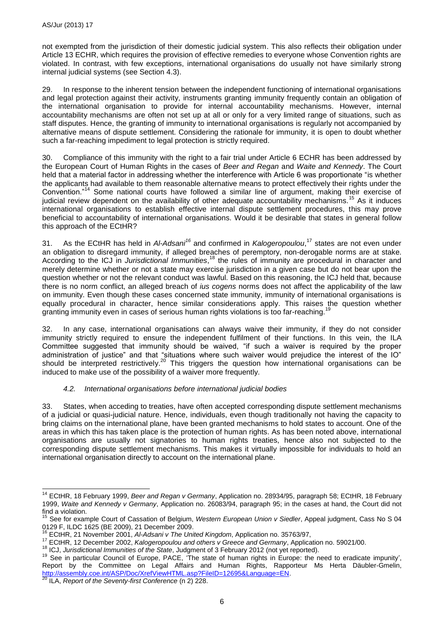not exempted from the jurisdiction of their domestic judicial system. This also reflects their obligation under Article 13 ECHR, which requires the provision of effective remedies to everyone whose Convention rights are violated. In contrast, with few exceptions, international organisations do usually not have similarly strong internal judicial systems (see Section 4.3).

29. In response to the inherent tension between the independent functioning of international organisations and legal protection against their activity, instruments granting immunity frequently contain an obligation of the international organisation to provide for internal accountability mechanisms. However, internal accountability mechanisms are often not set up at all or only for a very limited range of situations, such as staff disputes. Hence, the granting of immunity to international organisations is regularly not accompanied by alternative means of dispute settlement. Considering the rationale for immunity, it is open to doubt whether such a far-reaching impediment to legal protection is strictly required.

30. Compliance of this immunity with the right to a fair trial under Article 6 ECHR has been addressed by the European Court of Human Rights in the cases of *Beer and Regan* and *Waite and Kennedy*. The Court held that a material factor in addressing whether the interference with Article 6 was proportionate "is whether the applicants had available to them reasonable alternative means to protect effectively their rights under the Convention."<sup>14</sup> Some national courts have followed a similar line of argument, making their exercise of judicial review dependent on the availability of other adequate accountability mechanisms.<sup>15</sup> As it induces international organisations to establish effective internal dispute settlement procedures, this may prove beneficial to accountability of international organisations. Would it be desirable that states in general follow this approach of the ECtHR?

31. As the ECtHR has held in *Al-Adsani<sup>16</sup>* and confirmed in *Kalogeropoulou*, <sup>17</sup> states are not even under an obligation to disregard immunity, if alleged breaches of peremptory, non-derogable norms are at stake. According to the ICJ in *Jurisdictional Immunities*, <sup>18</sup> the rules of immunity are procedural in character and merely determine whether or not a state may exercise jurisdiction in a given case but do not bear upon the question whether or not the relevant conduct was lawful. Based on this reasoning, the ICJ held that, because there is no norm conflict, an alleged breach of *ius cogens* norms does not affect the applicability of the law on immunity. Even though these cases concerned state immunity, immunity of international organisations is equally procedural in character, hence similar considerations apply. This raises the question whether granting immunity even in cases of serious human rights violations is too far-reaching.<sup>19</sup>

32. In any case, international organisations can always waive their immunity, if they do not consider immunity strictly required to ensure the independent fulfilment of their functions. In this vein, the ILA Committee suggested that immunity should be waived, "if such a waiver is required by the proper administration of justice" and that "situations where such waiver would prejudice the interest of the IO" should be interpreted restrictively.<sup>20</sup> This triggers the question how international organisations can be induced to make use of the possibility of a waiver more frequently.

# *4.2. International organisations before international judicial bodies*

33. States, when acceding to treaties, have often accepted corresponding dispute settlement mechanisms of a judicial or quasi-judicial nature. Hence, individuals, even though traditionally not having the capacity to bring claims on the international plane, have been granted mechanisms to hold states to account. One of the areas in which this has taken place is the protection of human rights. As has been noted above, international organisations are usually not signatories to human rights treaties, hence also not subjected to the corresponding dispute settlement mechanisms. This makes it virtually impossible for individuals to hold an international organisation directly to account on the international plane.

 $\overline{a}$ 

<sup>14</sup> ECtHR, 18 February 1999, *Beer and Regan v Germany*, Application no. 28934/95, paragraph 58; ECtHR, 18 February 1999, *Waite and Kennedy v Germany*, Application no. 26083/94, paragraph 95; in the cases at hand, the Court did not find a violation.

<sup>15</sup> See for example Court of Cassation of Belgium, *Western European Union v Siedler*, Appeal judgment, Cass No S 04 0129 F, ILDC 1625 (BE 2009), 21 December 2009.

<sup>16</sup> ECtHR, 21 November 2001, *Al-Adsani v The United Kingdom*, Application no. 35763/97,

<sup>17</sup> ECtHR, 12 December 2002, *Kalogeropoulou and others v Greece and Germany*, Application no. 59021/00.

<sup>18</sup> ICJ, *Jurisdictional Immunities of the State*, Judgment of 3 February 2012 (not yet reported).

<sup>19</sup> See in particular Council of Europe, PACE, 'The state of human rights in Europe: the need to eradicate impunity', Report by the Committee on Legal Affairs and Human Rights, Rapporteur Ms Herta Däubler-Gmelin, [http://assembly.coe.int/ASP/Doc/XrefViewHTML.asp?FileID=12695&Language=EN.](http://assembly.coe.int/ASP/Doc/XrefViewHTML.asp?FileID=12695&Language=EN)

<sup>20</sup> ILA, *Report of the Seventy-first Conference* (n [2\)](#page-1-0) 228.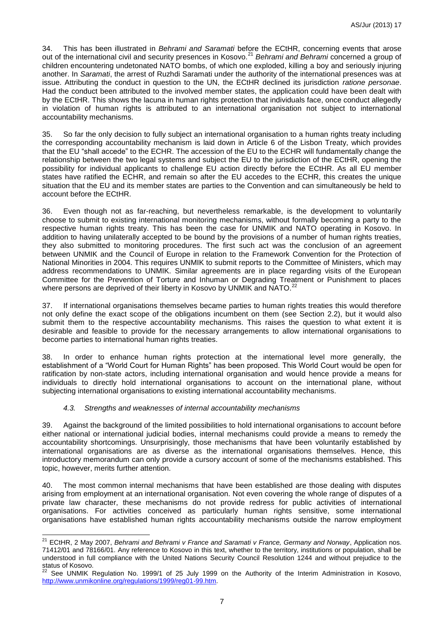<span id="page-6-0"></span>34. This has been illustrated in *Behrami and Saramati* before the ECtHR, concerning events that arose out of the international civil and security presences in Kosovo.<sup>21</sup> Behrami and Behrami concerned a group of children encountering undetonated NATO bombs, of which one exploded, killing a boy and seriously injuring another. In *Saramati*, the arrest of Ruzhdi Saramati under the authority of the international presences was at issue. Attributing the conduct in question to the UN, the ECtHR declined its jurisdiction *ratione personae*. Had the conduct been attributed to the involved member states, the application could have been dealt with by the ECtHR. This shows the lacuna in human rights protection that individuals face, once conduct allegedly in violation of human rights is attributed to an international organisation not subject to international accountability mechanisms.

35. So far the only decision to fully subject an international organisation to a human rights treaty including the corresponding accountability mechanism is laid down in Article 6 of the Lisbon Treaty, which provides that the EU "shall accede" to the ECHR. The accession of the EU to the ECHR will fundamentally change the relationship between the two legal systems and subject the EU to the jurisdiction of the ECtHR, opening the possibility for individual applicants to challenge EU action directly before the ECtHR. As all EU member states have ratified the ECHR, and remain so after the EU accedes to the ECHR, this creates the unique situation that the EU and its member states are parties to the Convention and can simultaneously be held to account before the ECtHR.

36. Even though not as far-reaching, but nevertheless remarkable, is the development to voluntarily choose to submit to existing international monitoring mechanisms, without formally becoming a party to the respective human rights treaty. This has been the case for UNMIK and NATO operating in Kosovo. In addition to having unilaterally accepted to be bound by the provisions of a number of human rights treaties, they also submitted to monitoring procedures. The first such act was the conclusion of an agreement between UNMIK and the Council of Europe in relation to the Framework Convention for the Protection of National Minorities in 2004. This requires UNMIK to submit reports to the Committee of Ministers, which may address recommendations to UNMIK. Similar agreements are in place regarding visits of the European Committee for the Prevention of Torture and Inhuman or Degrading Treatment or Punishment to places where persons are deprived of their liberty in Kosovo by UNMIK and NATO.<sup>22</sup>

37. If international organisations themselves became parties to human rights treaties this would therefore not only define the exact scope of the obligations incumbent on them (see Section 2.2), but it would also submit them to the respective accountability mechanisms. This raises the question to what extent it is desirable and feasible to provide for the necessary arrangements to allow international organisations to become parties to international human rights treaties.

38. In order to enhance human rights protection at the international level more generally, the establishment of a "World Court for Human Rights" has been proposed. This World Court would be open for ratification by non-state actors, including international organisation and would hence provide a means for individuals to directly hold international organisations to account on the international plane, without subjecting international organisations to existing international accountability mechanisms.

#### *4.3. Strengths and weaknesses of internal accountability mechanisms*

-

39. Against the background of the limited possibilities to hold international organisations to account before either national or international judicial bodies, internal mechanisms could provide a means to remedy the accountability shortcomings. Unsurprisingly, those mechanisms that have been voluntarily established by international organisations are as diverse as the international organisations themselves. Hence, this introductory memorandum can only provide a cursory account of some of the mechanisms established. This topic, however, merits further attention.

40. The most common internal mechanisms that have been established are those dealing with disputes arising from employment at an international organisation. Not even covering the whole range of disputes of a private law character, these mechanisms do not provide redress for public activities of international organisations. For activities conceived as particularly human rights sensitive, some international organisations have established human rights accountability mechanisms outside the narrow employment

<sup>21</sup> ECtHR, 2 May 2007, *Behrami and Behrami v France and Saramati v France, Germany and Norway*, Application nos. 71412/01 and 78166/01. Any reference to Kosovo in this text, whether to the territory, institutions or population, shall be understood in full compliance with the United Nations Security Council Resolution 1244 and without prejudice to the status of Kosovo.

See UNMIK Regulation No. 1999/1 of 25 July 1999 on the Authority of the Interim Administration in Kosovo, [http://www.unmikonline.org/regulations/1999/reg01-99.htm.](http://www.unmikonline.org/regulations/1999/reg01-99.htm)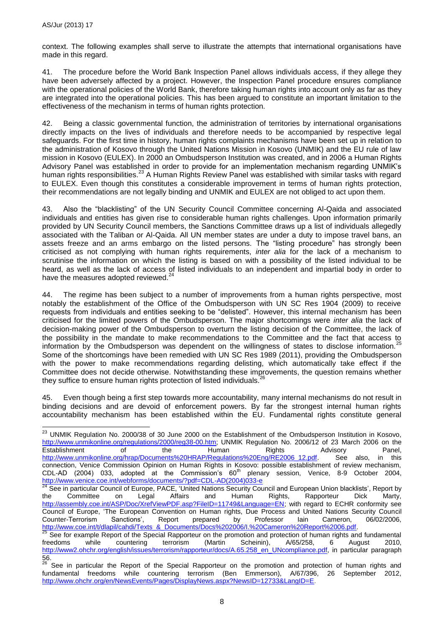context. The following examples shall serve to illustrate the attempts that international organisations have made in this regard.

41. The procedure before the World Bank Inspection Panel allows individuals access, if they allege they have been adversely affected by a project. However, the Inspection Panel procedure ensures compliance with the operational policies of the World Bank, therefore taking human rights into account only as far as they are integrated into the operational policies. This has been argued to constitute an important limitation to the effectiveness of the mechanism in terms of human rights protection.

42. Being a classic governmental function, the administration of territories by international organisations directly impacts on the lives of individuals and therefore needs to be accompanied by respective legal safeguards. For the first time in history, human rights complaints mechanisms have been set up in relation to the administration of Kosovo through the United Nations Mission in Kosovo (UNMIK) and the EU rule of law mission in Kosovo (EULEX). In 2000 an Ombudsperson Institution was created, and in 2006 a Human Rights Advisory Panel was established in order to provide for an implementation mechanism regarding UNMIK's human rights responsibilities.<sup>23</sup> A Human Rights Review Panel was established with similar tasks with regard to EULEX. Even though this constitutes a considerable improvement in terms of human rights protection, their recommendations are not legally binding and UNMIK and EULEX are not obliged to act upon them.

43. Also the "blacklisting" of the UN Security Council Committee concerning Al-Qaida and associated individuals and entities has given rise to considerable human rights challenges. Upon information primarily provided by UN Security Council members, the Sanctions Committee draws up a list of individuals allegedly associated with the Taliban or Al-Qaida. All UN member states are under a duty to impose travel bans, an assets freeze and an arms embargo on the listed persons. The "listing procedure" has strongly been criticised as not complying with human rights requirements, *inter alia* for the lack of a mechanism to scrutinise the information on which the listing is based on with a possibility of the listed individual to be heard, as well as the lack of access of listed individuals to an independent and impartial body in order to have the measures adopted reviewed.<sup>24</sup>

44. The regime has been subject to a number of improvements from a human rights perspective, most notably the establishment of the Office of the Ombudsperson with UN SC Res 1904 (2009) to receive requests from individuals and entities seeking to be "delisted". However, this internal mechanism has been criticised for the limited powers of the Ombudsperson. The major shortcomings were *inter alia* the lack of decision-making power of the Ombudsperson to overturn the listing decision of the Committee, the lack of the possibility in the mandate to make recommendations to the Committee and the fact that access to information by the Ombudsperson was dependent on the willingness of states to disclose information.<sup>25</sup> Some of the shortcomings have been remedied with UN SC Res 1989 (2011), providing the Ombudsperson with the power to make recommendations regarding delisting, which automatically take effect if the Committee does not decide otherwise. Notwithstanding these improvements, the question remains whether they suffice to ensure human rights protection of listed individuals.<sup>26</sup>

45. Even though being a first step towards more accountability, many internal mechanisms do not result in binding decisions and are devoid of enforcement powers. By far the strongest internal human rights accountability mechanism has been established within the EU. Fundamental rights constitute general

<sup>1</sup>  $^{23}$  UNMIK Regulation No. 2000/38 of 30 June 2000 on the Establishment of the Ombudsperson Institution in Kosovo, [http://www.unmikonline.org/regulations/2000/reg38-00.htm;](http://www.unmikonline.org/regulations/2000/reg38-00.htm) UNMIK Regulation No. 2006/12 of 23 March 2006 on the Establishment of the Human Rights Advisory Panel, [http://www.unmikonline.org/hrap/Documents%20HRAP/Regulations%20Eng/RE2006\\_12.pdf.](http://www.unmikonline.org/hrap/Documents%20HRAP/Regulations%20Eng/RE2006_12.pdf) See also, in this connection, Venice Commission Opinion on Human Rights in Kosovo: possible establishment of review mechanism, CDL-AD (2004) 033, adopted at the Commission's  $60<sup>th</sup>$  plenary session, Venice, 8-9 October 2004, [http://www.venice.coe.int/webforms/documents/?pdf=CDL-AD\(2004\)033-e](http://www.venice.coe.int/webforms/documents/?pdf=CDL-AD(2004)033-e)

<sup>&</sup>lt;sup>24</sup> See in particular Council of Europe, PACE, 'United Nations Security Council and European Union blacklists', Report by the Committee on Legal Affairs and Human Rights, Rapporteur Dick Marty, [http://assembly.coe.int/ASP/Doc/XrefViewPDF.asp?FileID=11749&Language=EN;](http://assembly.coe.int/ASP/Doc/XrefViewPDF.asp?FileID=11749&Language=EN) with regard to ECHR conformity see Council of Europe, 'The European Convention on Human rights, Due Process and United Nations Security Council<br>Counter-Terrorism Sanctions', Report prepared by Professor Iain Cameron, 06/02/2006, Counter-Terrorism Sanctions', Report prepared by Professor Iain Cameron,<br>http://www.coe.int/t/dlapil/cahdi/Texts\_&\_Documents/Docs%202006/I.%20Cameron%20Report%2006.pd [http://www.coe.int/t/dlapil/cahdi/Texts\\_&\\_Documents/Docs%202006/I.%20Cameron%20Report%2006.pdf.](http://www.coe.int/t/dlapil/cahdi/Texts_&_Documents/Docs%202006/I.%20Cameron%20Report%2006.pdf)

<sup>&</sup>lt;sup>25</sup> See for example Report of the Special Rapporteur on the promotion and protection of human rights and fundamental freedoms while countering terrorism (Martin Scheinin), A/65/258, 6 August 2010, [http://www2.ohchr.org/english/issues/terrorism/rapporteur/docs/A.65.258\\_en\\_UNcompliance.pdf,](http://www2.ohchr.org/english/issues/terrorism/rapporteur/docs/A.65.258_en_UNcompliance.pdf) in particular paragraph 56.

<sup>&</sup>lt;sup>26</sup> See in particular the Report of the Special Rapporteur on the promotion and protection of human rights and fundamental freedoms while countering terrorism (Ben Emmerson), A/67/396, 26 September 2012, [http://www.ohchr.org/en/NewsEvents/Pages/DisplayNews.aspx?NewsID=12733&LangID=E.](http://www.ohchr.org/en/NewsEvents/Pages/DisplayNews.aspx?NewsID=12733&LangID=E)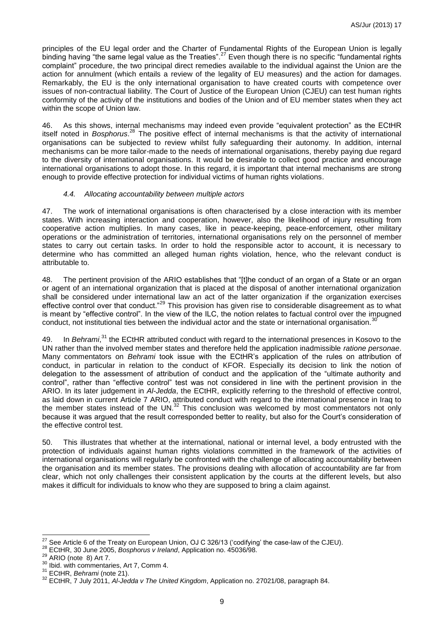principles of the EU legal order and the Charter of Fundamental Rights of the European Union is legally binding having "the same legal value as the Treaties".<sup>27</sup> Even though there is no specific "fundamental rights complaint" procedure, the two principal direct remedies available to the individual against the Union are the action for annulment (which entails a review of the legality of EU measures) and the action for damages. Remarkably, the EU is the only international organisation to have created courts with competence over issues of non-contractual liability. The Court of Justice of the European Union (CJEU) can test human rights conformity of the activity of the institutions and bodies of the Union and of EU member states when they act within the scope of Union law.

<span id="page-8-0"></span>46. As this shows, internal mechanisms may indeed even provide "equivalent protection" as the ECtHR itself noted in *Bosphorus*. <sup>28</sup> The positive effect of internal mechanisms is that the activity of international organisations can be subjected to review whilst fully safeguarding their autonomy. In addition, internal mechanisms can be more tailor-made to the needs of international organisations, thereby paying due regard to the diversity of international organisations. It would be desirable to collect good practice and encourage international organisations to adopt those. In this regard, it is important that internal mechanisms are strong enough to provide effective protection for individual victims of human rights violations.

#### *4.4. Allocating accountability between multiple actors*

47. The work of international organisations is often characterised by a close interaction with its member states. With increasing interaction and cooperation, however, also the likelihood of injury resulting from cooperative action multiplies. In many cases, like in peace-keeping, peace-enforcement, other military operations or the administration of territories, international organisations rely on the personnel of member states to carry out certain tasks. In order to hold the responsible actor to account, it is necessary to determine who has committed an alleged human rights violation, hence, who the relevant conduct is attributable to.

48. The pertinent provision of the ARIO establishes that "[t]he conduct of an organ of a State or an organ or agent of an international organization that is placed at the disposal of another international organization shall be considered under international law an act of the latter organization if the organization exercises effective control over that conduct."<sup>29</sup> This provision has given rise to considerable disagreement as to what is meant by "effective control". In the view of the ILC, the notion relates to factual control over the impugned conduct, not institutional ties between the individual actor and the state or international organisation.  $30$ 

49. In *Behrami*,<sup>31</sup> the ECtHR attributed conduct with regard to the international presences in Kosovo to the UN rather than the involved member states and therefore held the application inadmissible *ratione personae*. Many commentators on *Behrami* took issue with the ECtHR's application of the rules on attribution of conduct, in particular in relation to the conduct of KFOR. Especially its decision to link the notion of delegation to the assessment of attribution of conduct and the application of the "ultimate authority and control", rather than "effective control" test was not considered in line with the pertinent provision in the ARIO. In its later judgement in *Al-Jedda*, the ECtHR, explicitly referring to the threshold of effective control, as laid down in current Article 7 ARIO, attributed conduct with regard to the international presence in Iraq to the member states instead of the UN. $^{32}$  This conclusion was welcomed by most commentators not only because it was argued that the result corresponded better to reality, but also for the Court's consideration of the effective control test.

50. This illustrates that whether at the international, national or internal level, a body entrusted with the protection of individuals against human rights violations committed in the framework of the activities of international organisations will regularly be confronted with the challenge of allocating accountability between the organisation and its member states. The provisions dealing with allocation of accountability are far from clear, which not only challenges their consistent application by the courts at the different levels, but also makes it difficult for individuals to know who they are supposed to bring a claim against.

<sup>-</sup> $27$  See Article 6 of the Treaty on European Union, OJ C 326/13 ('codifying' the case-law of the CJEU).

<sup>28</sup> ECtHR, 30 June 2005, *Bosphorus v Ireland*, Application no. 45036/98.

 $29$  ARIO (note [8\)](#page-3-0) Art 7.

<sup>&</sup>lt;sup>30</sup> Ibid. with commentaries, Art 7, Comm 4.

<sup>31</sup> ECtHR, *Behrami* (note [21\)](#page-6-0).

<sup>32</sup> ECtHR, 7 July 2011, *Al-Jedda v The United Kingdom*, Application no. 27021/08, paragraph 84.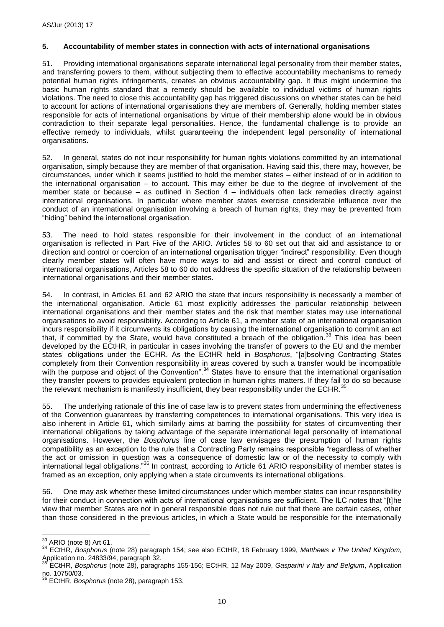#### **5. Accountability of member states in connection with acts of international organisations**

51. Providing international organisations separate international legal personality from their member states, and transferring powers to them, without subjecting them to effective accountability mechanisms to remedy potential human rights infringements, creates an obvious accountability gap. It thus might undermine the basic human rights standard that a remedy should be available to individual victims of human rights violations. The need to close this accountability gap has triggered discussions on whether states can be held to account for actions of international organisations they are members of. Generally, holding member states responsible for acts of international organisations by virtue of their membership alone would be in obvious contradiction to their separate legal personalities. Hence, the fundamental challenge is to provide an effective remedy to individuals, whilst guaranteeing the independent legal personality of international organisations.

52. In general, states do not incur responsibility for human rights violations committed by an international organisation, simply because they are member of that organisation. Having said this, there may, however, be circumstances, under which it seems justified to hold the member states – either instead of or in addition to the international organisation – to account. This may either be due to the degree of involvement of the member state or because – as outlined in Section 4 – individuals often lack remedies directly against international organisations. In particular where member states exercise considerable influence over the conduct of an international organisation involving a breach of human rights, they may be prevented from "hiding" behind the international organisation.

53. The need to hold states responsible for their involvement in the conduct of an international organisation is reflected in Part Five of the ARIO. Articles 58 to 60 set out that aid and assistance to or direction and control or coercion of an international organisation trigger "indirect" responsibility. Even though clearly member states will often have more ways to aid and assist or direct and control conduct of international organisations, Articles 58 to 60 do not address the specific situation of the relationship between international organisations and their member states.

54. In contrast, in Articles 61 and 62 ARIO the state that incurs responsibility is necessarily a member of the international organisation. Article 61 most explicitly addresses the particular relationship between international organisations and their member states and the risk that member states may use international organisations to avoid responsibility. According to Article 61, a member state of an international organisation incurs responsibility if it circumvents its obligations by causing the international organisation to commit an act that, if committed by the State, would have constituted a breach of the obligation.<sup>33</sup> This idea has been developed by the ECtHR, in particular in cases involving the transfer of powers to the EU and the member states' obligations under the ECHR. As the ECtHR held in *Bosphorus*, "[a]bsolving Contracting States completely from their Convention responsibility in areas covered by such a transfer would be incompatible with the purpose and object of the Convention".<sup>34</sup> States have to ensure that the international organisation they transfer powers to provides equivalent protection in human rights matters. If they fail to do so because the relevant mechanism is manifestly insufficient, they bear responsibility under the ECHR.<sup>35</sup>

55. The underlying rationale of this line of case law is to prevent states from undermining the effectiveness of the Convention guarantees by transferring competences to international organisations. This very idea is also inherent in Article 61, which similarly aims at barring the possibility for states of circumventing their international obligations by taking advantage of the separate international legal personality of international organisations. However, the *Bosphorus* line of case law envisages the presumption of human rights compatibility as an exception to the rule that a Contracting Party remains responsible "regardless of whether the act or omission in question was a consequence of domestic law or of the necessity to comply with international legal obligations."<sup>36</sup> In contrast, according to Article 61 ARIO responsibility of member states is framed as an exception, only applying when a state circumvents its international obligations.

56. One may ask whether these limited circumstances under which member states can incur responsibility for their conduct in connection with acts of international organisations are sufficient. The ILC notes that "[t]he view that member States are not in general responsible does not rule out that there are certain cases, other than those considered in the previous articles, in which a State would be responsible for the internationally

-

 $33$  ARIO (note [8\)](#page-3-0) Art 61.

<sup>34</sup> ECtHR, *Bosphorus* (note [28\)](#page-8-0) paragraph 154; see also ECtHR, 18 February 1999, *Matthews v The United Kingdom*, Application no. 24833/94, paragraph 32.

<sup>35</sup> ECtHR, *Bosphorus* (note [28\)](#page-8-0), paragraphs 155-156; ECtHR, 12 May 2009, *Gasparini v Italy and Belgium*, Application no. 10750/03.

<sup>36</sup> ECtHR, *Bosphorus* (note [28\)](#page-8-0), paragraph 153.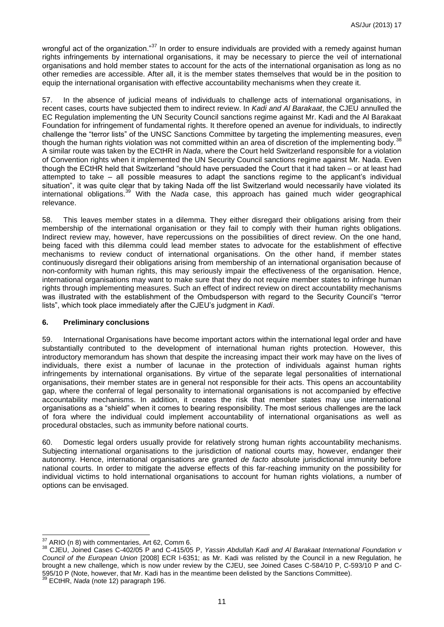wrongful act of the organization."<sup>37</sup> In order to ensure individuals are provided with a remedy against human rights infringements by international organisations, it may be necessary to pierce the veil of international organisations and hold member states to account for the acts of the international organisation as long as no other remedies are accessible. After all, it is the member states themselves that would be in the position to equip the international organisation with effective accountability mechanisms when they create it.

In the absence of judicial means of individuals to challenge acts of international organisations, in recent cases, courts have subjected them to indirect review. In *Kadi and Al Barakaat*, the CJEU annulled the EC Regulation implementing the UN Security Council sanctions regime against Mr. Kadi and the Al Barakaat Foundation for infringement of fundamental rights. It therefore opened an avenue for individuals, to indirectly challenge the "terror lists" of the UNSC Sanctions Committee by targeting the implementing measures, even though the human rights violation was not committed within an area of discretion of the implementing body.<sup>38</sup> A similar route was taken by the ECtHR in *Nada*, where the Court held Switzerland responsible for a violation of Convention rights when it implemented the UN Security Council sanctions regime against Mr. Nada. Even though the ECtHR held that Switzerland "should have persuaded the Court that it had taken – or at least had attempted to take – all possible measures to adapt the sanctions regime to the applicant's individual situation", it was quite clear that by taking Nada off the list Switzerland would necessarily have violated its international obligations.<sup>39</sup> With the *Nada* case, this approach has gained much wider geographical relevance.

58. This leaves member states in a dilemma. They either disregard their obligations arising from their membership of the international organisation or they fail to comply with their human rights obligations. Indirect review may, however, have repercussions on the possibilities of direct review. On the one hand, being faced with this dilemma could lead member states to advocate for the establishment of effective mechanisms to review conduct of international organisations. On the other hand, if member states continuously disregard their obligations arising from membership of an international organisation because of non-conformity with human rights, this may seriously impair the effectiveness of the organisation. Hence, international organisations may want to make sure that they do not require member states to infringe human rights through implementing measures. Such an effect of indirect review on direct accountability mechanisms was illustrated with the establishment of the Ombudsperson with regard to the Security Council's "terror lists", which took place immediately after the CJEU's judgment in *Kadi*.

#### **6. Preliminary conclusions**

59. International Organisations have become important actors within the international legal order and have substantially contributed to the development of international human rights protection. However, this introductory memorandum has shown that despite the increasing impact their work may have on the lives of individuals, there exist a number of lacunae in the protection of individuals against human rights infringements by international organisations. By virtue of the separate legal personalities of international organisations, their member states are in general not responsible for their acts. This opens an accountability gap, where the conferral of legal personality to international organisations is not accompanied by effective accountability mechanisms. In addition, it creates the risk that member states may use international organisations as a "shield" when it comes to bearing responsibility. The most serious challenges are the lack of fora where the individual could implement accountability of international organisations as well as procedural obstacles, such as immunity before national courts.

60. Domestic legal orders usually provide for relatively strong human rights accountability mechanisms. Subjecting international organisations to the jurisdiction of national courts may, however, endanger their autonomy. Hence, international organisations are granted *de facto* absolute jurisdictional immunity before national courts. In order to mitigate the adverse effects of this far-reaching immunity on the possibility for individual victims to hold international organisations to account for human rights violations, a number of options can be envisaged.

-

 $37$  ARIO (n [8\)](#page-3-0) with commentaries, Art 62, Comm 6.

<sup>38</sup> CJEU, Joined Cases C-402/05 P and C-415/05 P, *Yassin Abdullah Kadi and Al Barakaat International Foundation v Council of the European Union* [2008] ECR I-6351; as Mr. Kadi was relisted by the Council in a new Regulation, he brought a new challenge, which is now under review by the CJEU, see Joined Cases C-584/10 P, C-593/10 P and C-595/10 P (Note, however, that Mr. Kadi has in the meantime been delisted by the Sanctions Committee).

<sup>39</sup> ECtHR, *Nada* (note [12\)](#page-4-0) paragraph 196.